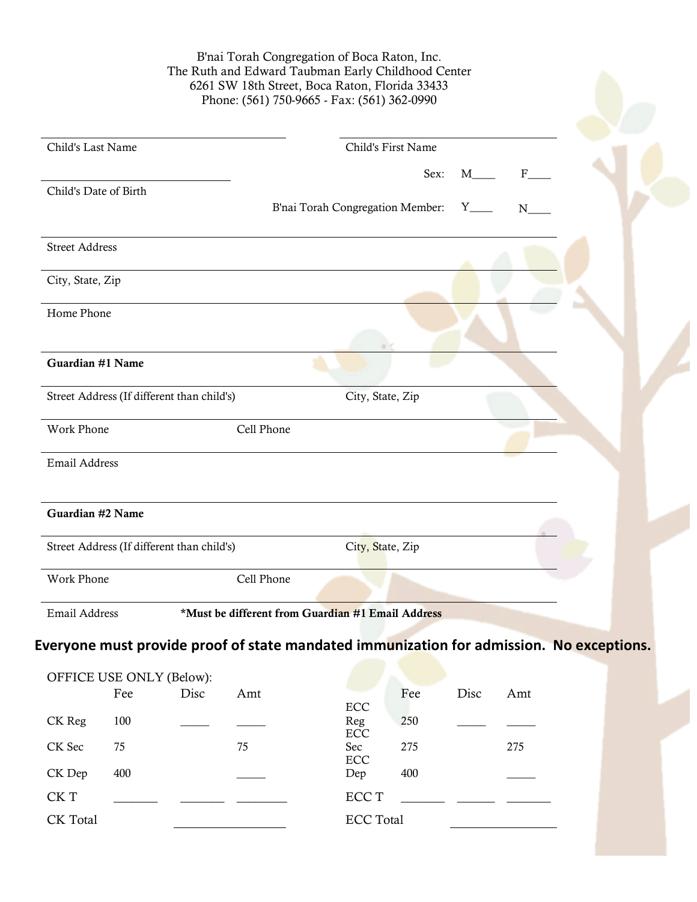B'nai Torah Congregation of Boca Raton, Inc. The Ruth and Edward Taubman Early Childhood Center 6261 SW 18th Street, Boca Raton, Florida 33433 Phone: (561) 750-9665 - Fax: (561) 362-0990

| Child's Last Name                          | Child's First Name                                |  |
|--------------------------------------------|---------------------------------------------------|--|
|                                            | Sex:<br>M<br>$\mathbf{F}$                         |  |
| Child's Date of Birth                      |                                                   |  |
|                                            | B'nai Torah Congregation Member: Y___<br>N        |  |
| <b>Street Address</b>                      |                                                   |  |
| City, State, Zip                           |                                                   |  |
| Home Phone                                 |                                                   |  |
|                                            |                                                   |  |
| Guardian #1 Name                           |                                                   |  |
| Street Address (If different than child's) | City, State, Zip                                  |  |
| <b>Work Phone</b>                          | Cell Phone                                        |  |
| Email Address                              |                                                   |  |
|                                            |                                                   |  |
| Guardian #2 Name                           |                                                   |  |
| Street Address (If different than child's) | City, State, Zip                                  |  |
| <b>Work Phone</b>                          | Cell Phone                                        |  |
| Email Address                              | *Must be different from Guardian #1 Email Address |  |

## **Everyone must provide proof of state mandated immunization for admission. No exceptions.**

| OFFICE USE ONLY (Below): |     |      |     |                  |     |      |     |  |  |
|--------------------------|-----|------|-----|------------------|-----|------|-----|--|--|
|                          | Fee | Disc | Amt |                  | Fee | Disc | Amt |  |  |
|                          |     |      |     | ECC              |     |      |     |  |  |
| CK Reg                   | 100 |      |     | Reg<br>ECC       | 250 |      |     |  |  |
| CK Sec                   | 75  |      | 75  | Sec              | 275 |      | 275 |  |  |
|                          |     |      |     | ECC              |     |      |     |  |  |
| CK Dep                   | 400 |      |     | Dep              | 400 |      |     |  |  |
| CK T                     |     |      |     | ECC T            |     |      |     |  |  |
|                          |     |      |     |                  |     |      |     |  |  |
| CK Total                 |     |      |     | <b>ECC</b> Total |     |      |     |  |  |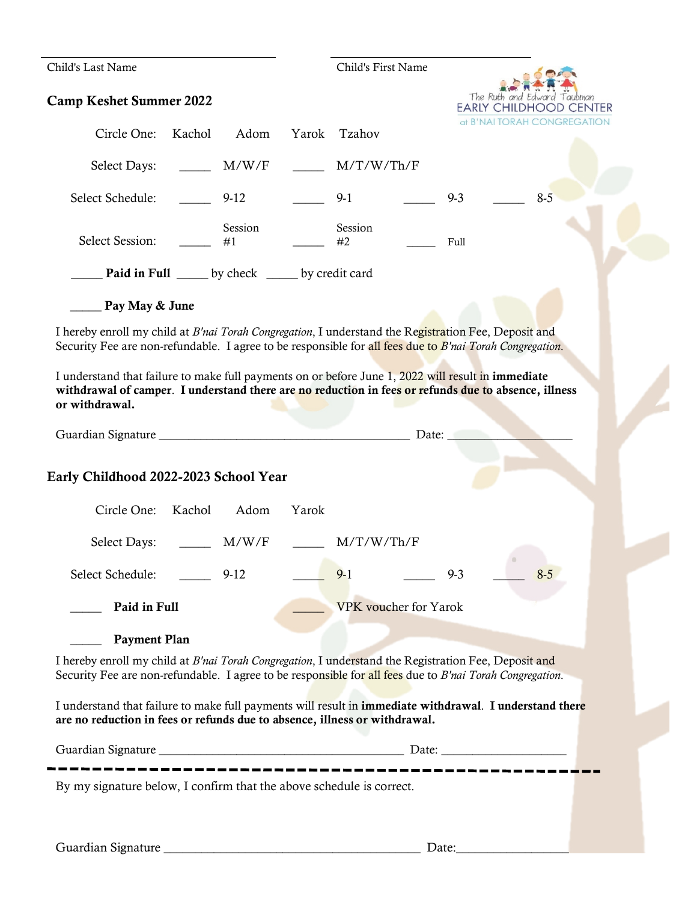| Child's Last Name                                                                                                                                                                                                            |       | Child's First Name           |                 |                               |  |
|------------------------------------------------------------------------------------------------------------------------------------------------------------------------------------------------------------------------------|-------|------------------------------|-----------------|-------------------------------|--|
| <b>Camp Keshet Summer 2022</b>                                                                                                                                                                                               |       |                              | The Ruth and Ed | <b>EARLY CHILDHOOD CENTER</b> |  |
| Circle One:<br>Kachol<br>Adom                                                                                                                                                                                                | Yarok | Tzahov                       |                 | at B'NAI TORAH CONGREGATION   |  |
| Select Days: _________ M/W/F                                                                                                                                                                                                 |       | M/T/W/Th/F                   |                 |                               |  |
| Select Schedule:<br>$9-12$                                                                                                                                                                                                   |       | $9-1$                        | $9 - 3$         | $8 - 5$                       |  |
| Session<br><b>Select Session:</b><br>#1                                                                                                                                                                                      |       | Session<br>#2                | Full            |                               |  |
| Paid in Full _____ by check _____ by credit card                                                                                                                                                                             |       |                              |                 |                               |  |
| Pay May & June                                                                                                                                                                                                               |       |                              |                 |                               |  |
| I hereby enroll my child at B'nai Torah Congregation, I understand the Registration Fee, Deposit and<br>Security Fee are non-refundable. I agree to be responsible for all fees due to B'nai Torah Congregation.             |       |                              |                 |                               |  |
| I understand that failure to make full payments on or before June 1, 2022 will result in immediate<br>withdrawal of camper. I understand there are no reduction in fees or refunds due to absence, illness<br>or withdrawal. |       |                              |                 |                               |  |
|                                                                                                                                                                                                                              |       |                              |                 |                               |  |
| Early Childhood 2022-2023 School Year                                                                                                                                                                                        |       |                              |                 |                               |  |
| Circle One: Kachol Adom                                                                                                                                                                                                      | Yarok |                              |                 |                               |  |
| M/W/F<br>Select Days: ______                                                                                                                                                                                                 |       | M/T/W/Th/F                   |                 |                               |  |
| Select Schedule:<br>$9-12$                                                                                                                                                                                                   |       | $9-1$                        | $9 - 3$         | $8 - 5$                       |  |
| Paid in Full                                                                                                                                                                                                                 |       | <b>VPK</b> voucher for Yarok |                 |                               |  |
| <b>Payment Plan</b>                                                                                                                                                                                                          |       |                              |                 |                               |  |
| I hereby enroll my child at B'nai Torah Congregation, I understand the Registration Fee, Deposit and<br>Security Fee are non-refundable. I agree to be responsible for all fees due to B'nai Torah Congregation.             |       |                              |                 |                               |  |
| I understand that failure to make full payments will result in immediate withdrawal. I understand there<br>are no reduction in fees or refunds due to absence, illness or withdrawal.                                        |       |                              |                 |                               |  |
|                                                                                                                                                                                                                              |       |                              |                 |                               |  |
| By my signature below, I confirm that the above schedule is correct.                                                                                                                                                         |       |                              |                 |                               |  |
|                                                                                                                                                                                                                              |       |                              |                 |                               |  |
|                                                                                                                                                                                                                              |       |                              | Date:           |                               |  |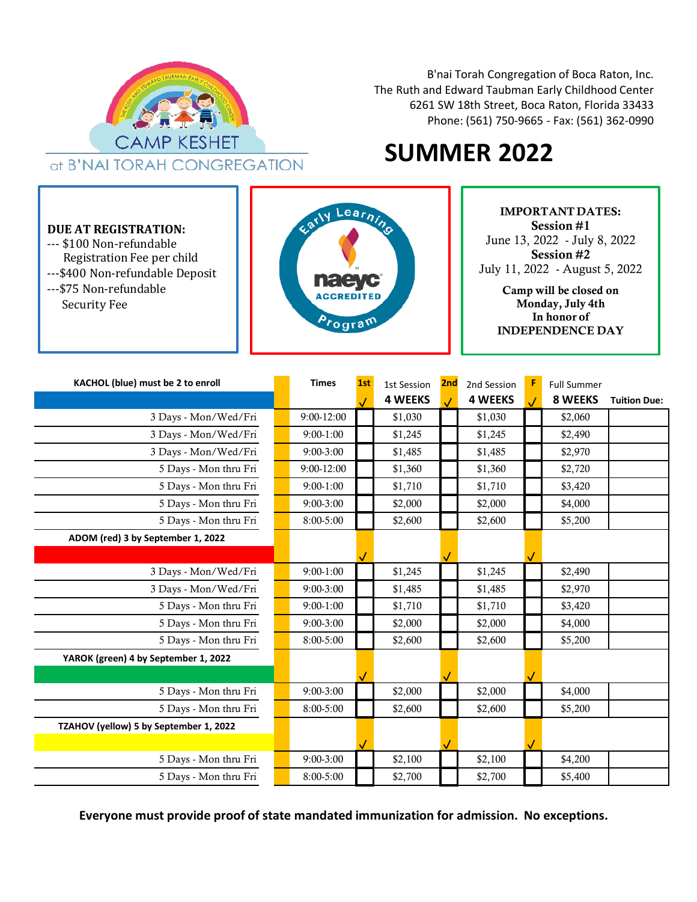

B'nai Torah Congregation of Boca Raton, Inc. The Ruth and Edward Taubman Early Childhood Center 6261 SW 18th Street, Boca Raton, Florida 33433 Phone: (561) 750-9665 - Fax: (561) 362-0990

# **SUMMER 2022**

#### **DUE AT REGISTRATION:**

--- \$100 Non-refundable Registration Fee per child ---\$400 Non-refundable Deposit ---\$75 Non-refundable Security Fee



IMPORTANT DATES: Session #1 June 13, 2022 - July 8, 2022 Session #2 July 11, 2022 - August 5, 2022

> Camp will be closed on Monday, July 4th In honor of INDEPENDENCE DAY

| KACHOL (blue) must be 2 to enroll      | <b>Times</b>   | 1st | 1st Session    | 2nd | 2nd Session    | <b>Full Summer</b> |                     |
|----------------------------------------|----------------|-----|----------------|-----|----------------|--------------------|---------------------|
|                                        |                |     | <b>4 WEEKS</b> |     | <b>4 WEEKS</b> | 8 WEEKS            | <b>Tuition Due:</b> |
| 3 Days - Mon/Wed/Fri                   | $9:00 - 12:00$ |     | \$1,030        |     | \$1,030        | \$2,060            |                     |
| 3 Days - Mon/Wed/Fri                   | $9:00-1:00$    |     | \$1,245        |     | \$1,245        | \$2,490            |                     |
| 3 Days - Mon/Wed/Fri                   | $9:00-3:00$    |     | \$1,485        |     | \$1,485        | \$2,970            |                     |
| 5 Days - Mon thru Fri                  | $9:00 - 12:00$ |     | \$1,360        |     | \$1,360        | \$2,720            |                     |
| 5 Days - Mon thru Fri                  | $9:00-1:00$    |     | \$1,710        |     | \$1,710        | \$3,420            |                     |
| 5 Days - Mon thru Fri                  | $9:00-3:00$    |     | \$2,000        |     | \$2,000        | \$4,000            |                     |
| 5 Days - Mon thru Fri                  | $8:00-5:00$    |     | \$2,600        |     | \$2,600        | \$5,200            |                     |
| ADOM (red) 3 by September 1, 2022      |                |     |                |     |                |                    |                     |
|                                        |                |     |                |     |                |                    |                     |
| 3 Days - Mon/Wed/Fri                   | $9:00-1:00$    |     | \$1,245        |     | \$1,245        | \$2,490            |                     |
| 3 Days - Mon/Wed/Fri                   | $9:00-3:00$    |     | \$1,485        |     | \$1,485        | \$2,970            |                     |
| 5 Days - Mon thru Fri                  | $9:00-1:00$    |     | \$1,710        |     | \$1,710        | \$3,420            |                     |
| 5 Days - Mon thru Fri                  | $9:00-3:00$    |     | \$2,000        |     | \$2,000        | \$4,000            |                     |
| 5 Days - Mon thru Fri                  | $8:00-5:00$    |     | \$2,600        |     | \$2,600        | \$5,200            |                     |
| YAROK (green) 4 by September 1, 2022   |                |     |                |     |                |                    |                     |
|                                        |                |     |                |     |                |                    |                     |
| 5 Days - Mon thru Fri                  | $9:00-3:00$    |     | \$2,000        |     | \$2,000        | \$4,000            |                     |
| 5 Days - Mon thru Fri                  | $8:00-5:00$    |     | \$2,600        |     | \$2,600        | \$5,200            |                     |
| TZAHOV (yellow) 5 by September 1, 2022 |                |     |                |     |                |                    |                     |
|                                        |                |     |                |     |                |                    |                     |
| 5 Days - Mon thru Fri                  | $9:00 - 3:00$  |     | \$2,100        |     | \$2,100        | \$4,200            |                     |
| 5 Days - Mon thru Fri                  | $8:00-5:00$    |     | \$2,700        |     | \$2,700        | \$5,400            |                     |

**Everyone must provide proof of state mandated immunization for admission. No exceptions.**